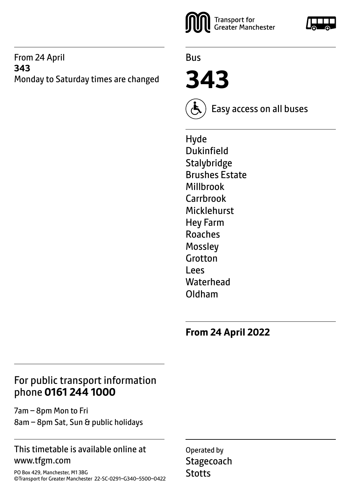#### From 24 April **343** Monday to Saturday times are changed



Bus

**343**



Easy access on all buses

Hyde Dukinfield **Stalybridge** Brushes Estate Millbrook Carrbrook Micklehurst Hey Farm Roaches Mossley Grotton Lees **Waterhead** Oldham

**From 24 April 2022**

## For public transport information phone **0161 244 1000**

7am – 8pm Mon to Fri 8am – 8pm Sat, Sun & public holidays

#### This timetable is available online at www.tfgm.com

PO Box 429, Manchester, M1 3BG ©Transport for Greater Manchester 22-SC-0291–G340–5500–0422 Operated by **Stagecoach Stotts**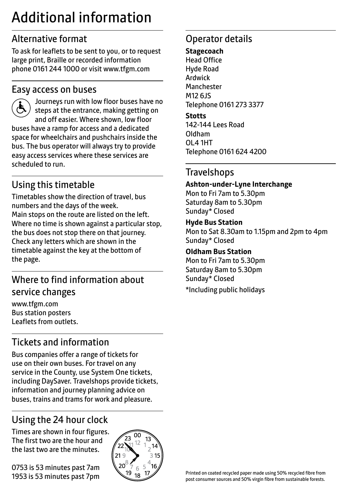# Additional information

## Alternative format

To ask for leaflets to be sent to you, or to request large print, Braille or recorded information phone 0161 244 1000 or visit www.tfgm.com

### Easy access on buses



 Journeys run with low floor buses have no steps at the entrance, making getting on and off easier. Where shown, low floor buses have a ramp for access and a dedicated space for wheelchairs and pushchairs inside the bus. The bus operator will always try to provide easy access services where these services are scheduled to run.

## Using this timetable

Timetables show the direction of travel, bus numbers and the days of the week. Main stops on the route are listed on the left. Where no time is shown against a particular stop, the bus does not stop there on that journey. Check any letters which are shown in the timetable against the key at the bottom of the page.

## Where to find information about service changes

www.tfgm.com Bus station posters Leaflets from outlets.

## Tickets and information

Bus companies offer a range of tickets for use on their own buses. For travel on any service in the County, use System One tickets, including DaySaver. Travelshops provide tickets, information and journey planning advice on buses, trains and trams for work and pleasure.

## Using the 24 hour clock

Times are shown in four figures. The first two are the hour and the last two are the minutes.

0753 is 53 minutes past 7am 1953 is 53 minutes past 7pm



## Operator details

#### **Stagecoach**

Head Office Hyde Road Ardwick **Manchester** M12 6JS Telephone 0161 273 3377

#### **Stotts**

142-144 Lees Road Oldham OL4 1HT Telephone 0161 624 4200

## **Travelshops**

#### **Ashton-under-Lyne Interchange**

Mon to Fri 7am to 5.30pm Saturday 8am to 5.30pm Sunday\* Closed

#### **Hyde Bus Station** Mon to Sat 8.30am to 1.15pm and 2pm to 4pm

Sunday\* Closed

#### **Oldham Bus Station**

Mon to Fri 7am to 5.30pm Saturday 8am to 5.30pm Sunday\* Closed \*Including public holidays

Printed on coated recycled paper made using 50% recycled fibre from post consumer sources and 50% virgin fibre from sustainable forests.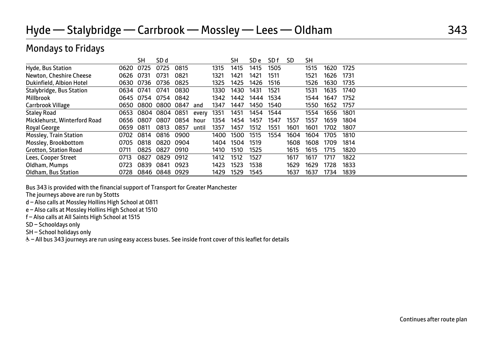## Hyde — Stalybridge — Carrbrook — Mossley — Lees — Oldham 343

### Mondays to Fridays

|                               |           | SН        | SD d                |      |       |      | SН   | SD e | SD f | SD   | SΗ   |      |      |  |
|-------------------------------|-----------|-----------|---------------------|------|-------|------|------|------|------|------|------|------|------|--|
| Hyde, Bus Station             | 0620      | 0725      | 0725                | 0815 |       | 1315 | 1415 | 1415 | 1505 |      | 1515 | 1620 | 1725 |  |
| Newton, Cheshire Cheese       | 0626 0731 |           | 0731                | 0821 |       | 1321 | 1421 | 1421 | 1511 |      | 1521 | 1626 | 1731 |  |
| Dukinfield, Albion Hotel      | 0630      | 0736      | 0736                | 0825 |       | 1325 | 1425 | 1426 | 1516 |      | 1526 | 1630 | 1735 |  |
| Stalybridge, Bus Station      | 0634 0741 |           | 0741                | 0830 |       | 1330 | 1430 | 1431 | 1521 |      | 1531 | 1635 | 1740 |  |
| Millbrook                     |           |           | 0645 0754 0754 0842 |      |       | 1342 | 1442 | 1444 | 1534 |      | 1544 | 1647 | 1752 |  |
| Carrbrook Village             |           | 0650 0800 | 0800 0847           |      | and   | 1347 | 1447 | 1450 | 1540 |      | 1550 | 1652 | 1757 |  |
| <b>Staley Road</b>            |           |           | 0653 0804 0804 0851 |      | every | 1351 | 1451 | 1454 | 1544 |      | 1554 | 1656 | 1801 |  |
| Micklehurst, Winterford Road  | 0656 0807 |           | 0807                | 0854 | hour  | 1354 | 1454 | 1457 | 1547 | 1557 | 1557 | 1659 | 1804 |  |
| Royal George                  | 0659      | 0811      | 0813                | 0857 | until | 1357 | 1457 | 1512 | 1551 | 1601 | 1601 | 1702 | 1807 |  |
| <b>Mossley, Train Station</b> | 0702      | 0814      | 0816                | 0900 |       | 1400 | 1500 | 1515 | 1554 | 1604 | 1604 | 1705 | 1810 |  |
| Mossley, Brookbottom          | 0705      | 0818      | 0820 0904           |      |       | 1404 | 1504 | 1519 |      | 1608 | 1608 | 1709 | 1814 |  |
| <b>Grotton, Station Road</b>  | 0711      | 0825      | 0827                | 0910 |       | 1410 | 1510 | 1525 |      | 1615 | 1615 | 1715 | 1820 |  |
| Lees, Cooper Street           | 0713      | 0827      | 0829                | 0912 |       | 1412 | 1512 | 1527 |      | 1617 | 1617 | 1717 | 1822 |  |
| Oldham, Mumps                 | 0723      | 0839      | 0841                | 0923 |       | 1423 | 1523 | 1538 |      | 1629 | 1629 | 1728 | 1833 |  |
| Oldham, Bus Station           | 0728      |           | 0846 0848 0929      |      |       | 1429 | 1529 | 1545 |      | 1637 | 1637 | 1734 | 1839 |  |

Bus 343 is provided with the financial support of Transport for Greater Manchester

The journeys above are run by Stotts

d – Also calls at Mossley Hollins High School at 0811

e – Also calls at Mossley Hollins High School at 1510

f – Also calls at All Saints High School at 1515

SD – Schooldays only

SH – School holidays only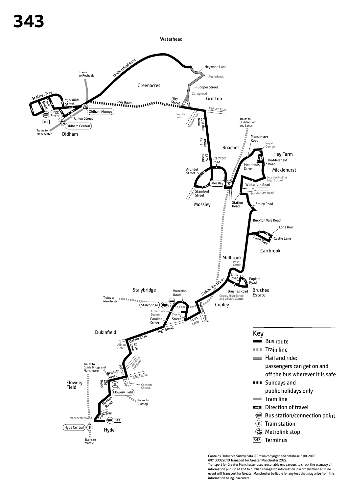

Contains Ordnance Survey data ©Crown copyright and database right 2010 ©0100022610 Transport for Greater Manchester 2022 Transport for Greater Manchester uses reasonable endeavours to check the accuracy of information published and to publish changes to information in a timely manner. In no event will Transport for Greater Manchester be liable for any loss that may arise from this information being inaccurate.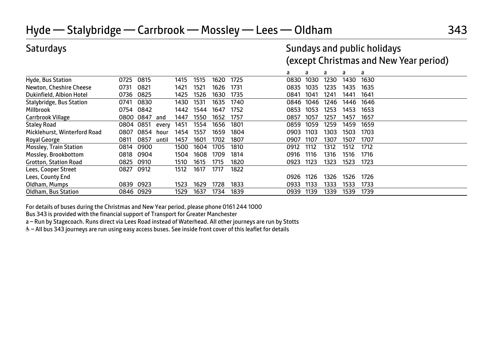## Hyde — Stalybridge — Carrbrook — Mossley — Lees — Oldham 343

## Saturdays Sundays and public holidays (except Christmas and New Year period)

|                              |           |      |       |      |      |      |      | a    | a    | a    | a    | a    |  |  |
|------------------------------|-----------|------|-------|------|------|------|------|------|------|------|------|------|--|--|
| Hyde, Bus Station            | 0725      | 0815 |       | 1415 | 1515 | 1620 | 1725 | 0830 | 1030 | 1230 | 1430 | 1630 |  |  |
| Newton, Cheshire Cheese      | 0731      | 0821 |       | 1421 | 1521 | 1626 | 1731 | 0835 | 1035 | 1235 | 1435 | 1635 |  |  |
| Dukinfield, Albion Hotel     | 0736      | 0825 |       | 1425 | 1526 | 1630 | 1735 | 0841 | 1041 | 1241 | 1441 | 1641 |  |  |
| Stalybridge, Bus Station     | 0741      | 0830 |       | 1430 | 1531 | 1635 | 1740 | 0846 | 1046 | 1246 | 1446 | 1646 |  |  |
| Millbrook                    | 0754      | 0842 |       | 1442 | 1544 | 1647 | 1752 | 0853 | 1053 | 1253 | 1453 | 1653 |  |  |
| Carrbrook Village            | 0800      | 0847 | and   | 1447 | 1550 | 1652 | 1757 | 0857 | 1057 | 1257 | 1457 | 1657 |  |  |
| <b>Staley Road</b>           | 0804 0851 |      | every | 1451 | 1554 | 1656 | 1801 | 0859 | 1059 | 1259 | 1459 | 1659 |  |  |
| Micklehurst, Winterford Road | 0807      | 0854 | hour  | 1454 | 1557 | 1659 | 1804 | 0903 | 1103 | 1303 | 1503 | 1703 |  |  |
| Royal George                 | 0811      | 0857 | until | 1457 | 1601 | 1702 | 1807 | 0907 | 1107 | 1307 | 1507 | 1707 |  |  |
| Mossley, Train Station       | 0814      | 0900 |       | 1500 | 1604 | 1705 | 1810 | 0912 | 1112 | 1312 | 1512 | 1712 |  |  |
| Mossley, Brookbottom         | 0818      | 0904 |       | 1504 | 1608 | 1709 | 1814 | 0916 | 1116 | 1316 | 1516 | 1716 |  |  |
| <b>Grotton, Station Road</b> | 0825      | 0910 |       | 1510 | 1615 | 1715 | 1820 | 0923 | 1123 | 1323 | 1523 | 1723 |  |  |
| Lees, Cooper Street          | 0827      | 0912 |       | 1512 | 1617 | 1717 | 1822 |      |      |      |      |      |  |  |
| Lees, County End             |           |      |       |      |      |      |      | 0926 | 1126 | 1326 | 1526 | 1726 |  |  |
| Oldham, Mumps                | 0839      | 0923 |       | 1523 | 1629 | 1728 | 1833 | 0933 | 1133 | 1333 | 1533 | 1733 |  |  |
| Oldham, Bus Station          | 0846 0929 |      |       | 1529 | 1637 | 1734 | 1839 | 0939 | 1139 | 1339 | 1539 | 1739 |  |  |

For details of buses during the Christmas and New Year period, please phone 0161 244 1000

Bus 343 is provided with the financial support of Transport for Greater Manchester

a – Run by Stagecoach. Runs direct via Lees Road instead of Waterhead. All other journeys are run by Stotts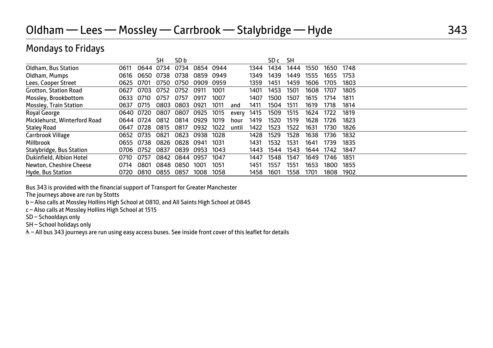## Oldham — Lees — Mossley — Carrbrook — Stalybridge — Hyde 343

## Mondays to Fridays

|                              |           |           | SН   | SD <sub>b</sub> |      |      |       |      | SD c | SН   |      |      |      |  |  |
|------------------------------|-----------|-----------|------|-----------------|------|------|-------|------|------|------|------|------|------|--|--|
| Oldham, Bus Station          | 0611      | 0644      | 0734 | 0734            | 0854 | 0944 |       | 1344 | 1434 | 1444 | 1550 | 1650 | 1748 |  |  |
| Oldham, Mumps                | 0616      | 0650      | 0738 | 0738            | 0859 | 0949 |       | 1349 | 1439 | 1449 | 1555 | 1655 | 1753 |  |  |
| Lees, Cooper Street          | 0625      | 0701      | 0750 | 0750            | 0909 | 0959 |       | 1359 | 1451 | 1459 | 1606 | 1705 | 1803 |  |  |
| <b>Grotton, Station Road</b> | 0627      | 0703      | 0752 | 0752            | 0911 | 1001 |       | 1401 | 1453 | 1501 | 1608 | 1707 | 1805 |  |  |
| Mossley, Brookbottom         | 0633      | 0710      | 0757 | 0757            | 0917 | 1007 |       | 1407 | 1500 | 1507 | 1615 | 1714 | 1811 |  |  |
| Mossley, Train Station       | 0637      | 0715      | 0803 | 0803            | 0921 | 1011 | and   | 1411 | 1504 | 1511 | 1619 | 1718 | 1814 |  |  |
| Royal George                 |           | 0640 0720 | 0807 | 0807            | 0925 | 1015 | every | 1415 | 1509 | 1515 | 1624 | 1722 | 1819 |  |  |
| Micklehurst, Winterford Road |           | 0644 0724 | 0812 | 0814            | 0929 | 1019 | hour  | 1419 | 1520 | 1519 | 1628 | 1726 | 1823 |  |  |
| <b>Staley Road</b>           | 0647      | 0728      | 0815 | 0817            | 0932 | 1022 | until | 1422 | 1523 | 1522 | 1631 | 1730 | 1826 |  |  |
| Carrbrook Village            | 0652      | 0735      | 0821 | 0823            | 0938 | 1028 |       | 1428 | 1529 | 1528 | 1638 | 1736 | 1832 |  |  |
| Millbrook                    |           | 0655 0738 | 0826 | 0828            | 0941 | 1031 |       | 1431 | 1532 | 1531 | 1641 | 1739 | 1835 |  |  |
| Stalybridge, Bus Station     | 0706 0752 |           | 0837 | 0839            | 0953 | 1043 |       | 1443 | 1544 | 1543 | 1644 | 1742 | 1847 |  |  |
| Dukinfield, Albion Hotel     | 0710      | 0757      | 0842 | 0844            | 0957 | 1047 |       | 1447 | 1548 | 1547 | 1649 | 1746 | 1851 |  |  |
| Newton, Cheshire Cheese      | 0714      | 0801      | 0848 | 0850            | 1001 | 1051 |       | 1451 | 1557 | 1551 | 1653 | 1800 | 1855 |  |  |
| Hyde, Bus Station            | 0720      | 0810      | 0855 | 0857            | 1008 | 1058 |       | 1458 | 1601 | 1558 | 1701 | 1808 | 1902 |  |  |

Bus 343 is provided with the financial support of Transport for Greater Manchester

The journeys above are run by Stotts

b – Also calls at Mossley Hollins High School at 0810, and All Saints High School at 0845

c – Also calls at Mossley Hollins High School at 1515

SD – Schooldays only

SH – School holidays only